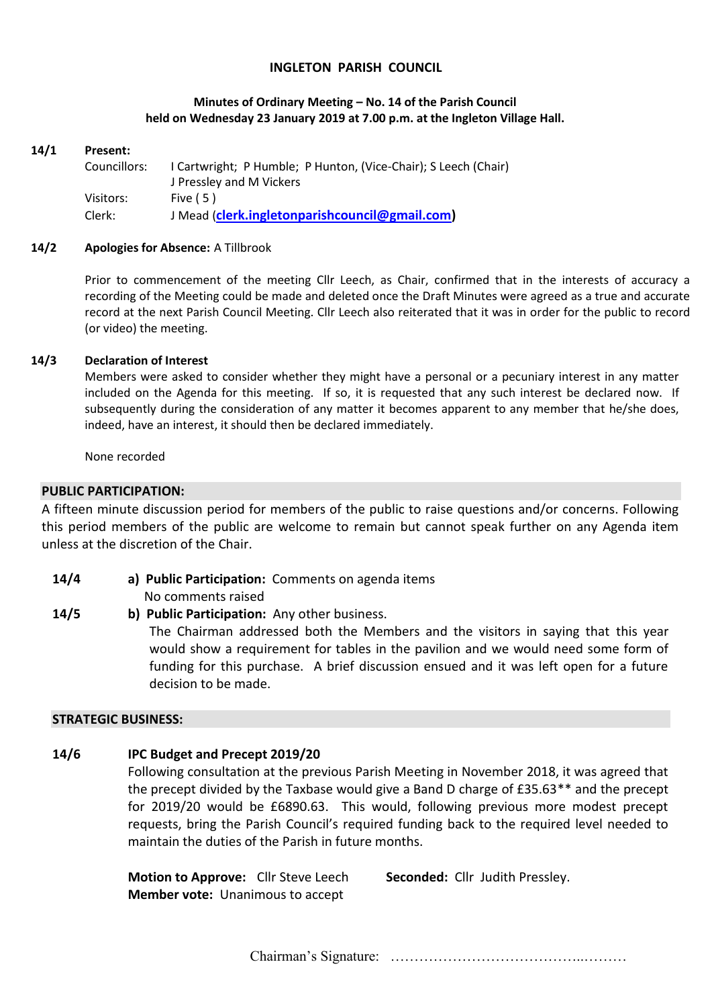## **INGLETON PARISH COUNCIL**

### **Minutes of Ordinary Meeting – No. 14 of the Parish Council held on Wednesday 23 January 2019 at 7.00 p.m. at the Ingleton Village Hall.**

#### **14/1 Present:**

| Councillors: | I Cartwright; P Humble; P Hunton, (Vice-Chair); S Leech (Chair) |
|--------------|-----------------------------------------------------------------|
|              | J Pressley and M Vickers                                        |
| Visitors:    | Five $(5)$                                                      |
| Clerk:       | J Mead (clerk.ingletonparishcouncil@gmail.com)                  |

#### **14/2 Apologies for Absence:** A Tillbrook

Prior to commencement of the meeting Cllr Leech, as Chair, confirmed that in the interests of accuracy a recording of the Meeting could be made and deleted once the Draft Minutes were agreed as a true and accurate record at the next Parish Council Meeting. Cllr Leech also reiterated that it was in order for the public to record (or video) the meeting.

### **14/3 Declaration of Interest**

Members were asked to consider whether they might have a personal or a pecuniary interest in any matter included on the Agenda for this meeting. If so, it is requested that any such interest be declared now. If subsequently during the consideration of any matter it becomes apparent to any member that he/she does, indeed, have an interest, it should then be declared immediately.

None recorded

### **PUBLIC PARTICIPATION:**

A fifteen minute discussion period for members of the public to raise questions and/or concerns. Following this period members of the public are welcome to remain but cannot speak further on any Agenda item unless at the discretion of the Chair.

**14/4 a) Public Participation:** Comments on agenda items

No comments raised

**14/5 b) Public Participation:** Any other business.

The Chairman addressed both the Members and the visitors in saying that this year would show a requirement for tables in the pavilion and we would need some form of funding for this purchase. A brief discussion ensued and it was left open for a future decision to be made.

### **STRATEGIC BUSINESS:**

### **14/6 IPC Budget and Precept 2019/20**

Following consultation at the previous Parish Meeting in November 2018, it was agreed that the precept divided by the Taxbase would give a Band D charge of £35.63\*\* and the precept for 2019/20 would be £6890.63. This would, following previous more modest precept requests, bring the Parish Council's required funding back to the required level needed to maintain the duties of the Parish in future months.

**Motion to Approve:** Cllr Steve Leech **Seconded:** Cllr Judith Pressley. **Member vote:** Unanimous to accept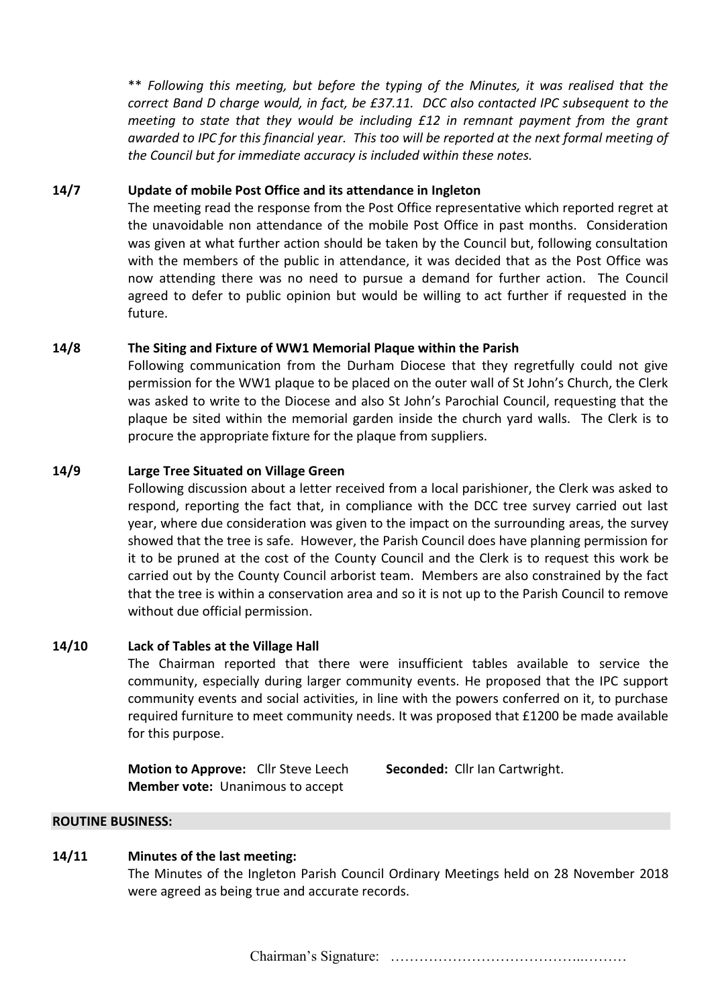\*\* *Following this meeting, but before the typing of the Minutes, it was realised that the correct Band D charge would, in fact, be £37.11. DCC also contacted IPC subsequent to the meeting to state that they would be including £12 in remnant payment from the grant awarded to IPC for this financial year. This too will be reported at the next formal meeting of the Council but for immediate accuracy is included within these notes.*

## **14/7 Update of mobile Post Office and its attendance in Ingleton**

The meeting read the response from the Post Office representative which reported regret at the unavoidable non attendance of the mobile Post Office in past months. Consideration was given at what further action should be taken by the Council but, following consultation with the members of the public in attendance, it was decided that as the Post Office was now attending there was no need to pursue a demand for further action. The Council agreed to defer to public opinion but would be willing to act further if requested in the future.

# **14/8 The Siting and Fixture of WW1 Memorial Plaque within the Parish**

Following communication from the Durham Diocese that they regretfully could not give permission for the WW1 plaque to be placed on the outer wall of St John's Church, the Clerk was asked to write to the Diocese and also St John's Parochial Council, requesting that the plaque be sited within the memorial garden inside the church yard walls. The Clerk is to procure the appropriate fixture for the plaque from suppliers.

# **14/9 Large Tree Situated on Village Green**

Following discussion about a letter received from a local parishioner, the Clerk was asked to respond, reporting the fact that, in compliance with the DCC tree survey carried out last year, where due consideration was given to the impact on the surrounding areas, the survey showed that the tree is safe. However, the Parish Council does have planning permission for it to be pruned at the cost of the County Council and the Clerk is to request this work be carried out by the County Council arborist team. Members are also constrained by the fact that the tree is within a conservation area and so it is not up to the Parish Council to remove without due official permission.

## **14/10 Lack of Tables at the Village Hall**

The Chairman reported that there were insufficient tables available to service the community, especially during larger community events. He proposed that the IPC support community events and social activities, in line with the powers conferred on it, to purchase required furniture to meet community needs. It was proposed that £1200 be made available for this purpose.

**Motion to Approve:** Cllr Steve Leech **Seconded:** Cllr Ian Cartwright. **Member vote:** Unanimous to accept

## **ROUTINE BUSINESS:**

## **14/11 Minutes of the last meeting:**

The Minutes of the Ingleton Parish Council Ordinary Meetings held on 28 November 2018 were agreed as being true and accurate records.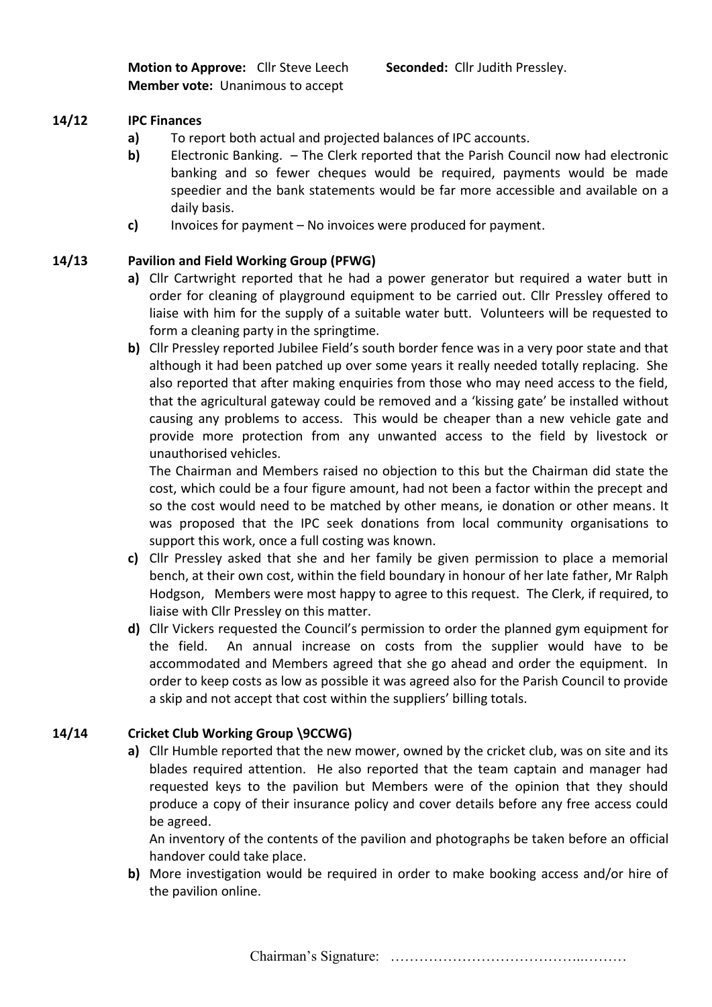**Motion to Approve:** Cllr Steve Leech **Seconded:** Cllr Judith Pressley. **Member vote:** Unanimous to accept

# **14/12 IPC Finances**

- **a)** To report both actual and projected balances of IPC accounts.
- **b)** Electronic Banking. The Clerk reported that the Parish Council now had electronic banking and so fewer cheques would be required, payments would be made speedier and the bank statements would be far more accessible and available on a daily basis.
- **c)** Invoices for payment No invoices were produced for payment.

# **14/13 Pavilion and Field Working Group (PFWG)**

- **a)** Cllr Cartwright reported that he had a power generator but required a water butt in order for cleaning of playground equipment to be carried out. Cllr Pressley offered to liaise with him for the supply of a suitable water butt. Volunteers will be requested to form a cleaning party in the springtime.
- **b)** Cllr Pressley reported Jubilee Field's south border fence was in a very poor state and that although it had been patched up over some years it really needed totally replacing. She also reported that after making enquiries from those who may need access to the field, that the agricultural gateway could be removed and a 'kissing gate' be installed without causing any problems to access. This would be cheaper than a new vehicle gate and provide more protection from any unwanted access to the field by livestock or unauthorised vehicles.

The Chairman and Members raised no objection to this but the Chairman did state the cost, which could be a four figure amount, had not been a factor within the precept and so the cost would need to be matched by other means, ie donation or other means. It was proposed that the IPC seek donations from local community organisations to support this work, once a full costing was known.

- **c)** Cllr Pressley asked that she and her family be given permission to place a memorial bench, at their own cost, within the field boundary in honour of her late father, Mr Ralph Hodgson, Members were most happy to agree to this request. The Clerk, if required, to liaise with Cllr Pressley on this matter.
- **d)** Cllr Vickers requested the Council's permission to order the planned gym equipment for the field. An annual increase on costs from the supplier would have to be accommodated and Members agreed that she go ahead and order the equipment. In order to keep costs as low as possible it was agreed also for the Parish Council to provide a skip and not accept that cost within the suppliers' billing totals.

# **14/14 Cricket Club Working Group \9CCWG)**

**a)** Cllr Humble reported that the new mower, owned by the cricket club, was on site and its blades required attention. He also reported that the team captain and manager had requested keys to the pavilion but Members were of the opinion that they should produce a copy of their insurance policy and cover details before any free access could be agreed.

An inventory of the contents of the pavilion and photographs be taken before an official handover could take place.

**b)** More investigation would be required in order to make booking access and/or hire of the pavilion online.